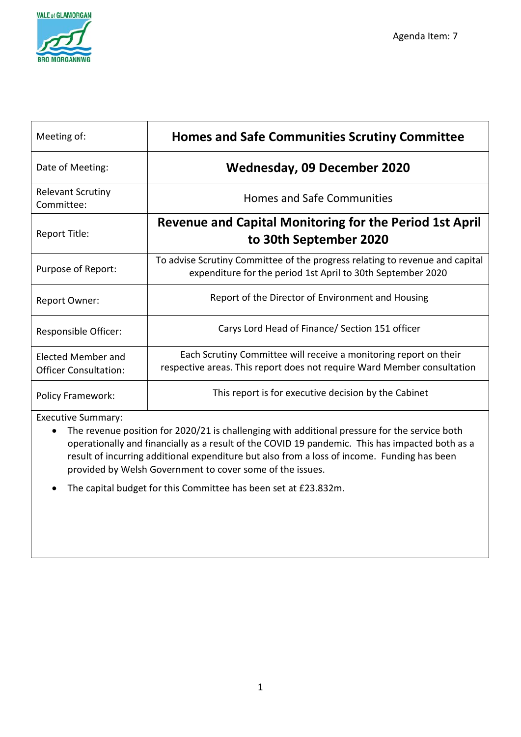

| Meeting of:                                        | <b>Homes and Safe Communities Scrutiny Committee</b>                                                                                         |
|----------------------------------------------------|----------------------------------------------------------------------------------------------------------------------------------------------|
| Date of Meeting:                                   | Wednesday, 09 December 2020                                                                                                                  |
| <b>Relevant Scrutiny</b><br>Committee:             | <b>Homes and Safe Communities</b>                                                                                                            |
| Report Title:                                      | <b>Revenue and Capital Monitoring for the Period 1st April</b><br>to 30th September 2020                                                     |
| Purpose of Report:                                 | To advise Scrutiny Committee of the progress relating to revenue and capital<br>expenditure for the period 1st April to 30th September 2020  |
| Report Owner:                                      | Report of the Director of Environment and Housing                                                                                            |
| Responsible Officer:                               | Carys Lord Head of Finance/ Section 151 officer                                                                                              |
| Elected Member and<br><b>Officer Consultation:</b> | Each Scrutiny Committee will receive a monitoring report on their<br>respective areas. This report does not require Ward Member consultation |
| <b>Policy Framework:</b>                           | This report is for executive decision by the Cabinet                                                                                         |

Executive Summary:

• The revenue position for 2020/21 is challenging with additional pressure for the service both operationally and financially as a result of the COVID 19 pandemic. This has impacted both as a result of incurring additional expenditure but also from a loss of income. Funding has been provided by Welsh Government to cover some of the issues.

• The capital budget for this Committee has been set at £23.832m.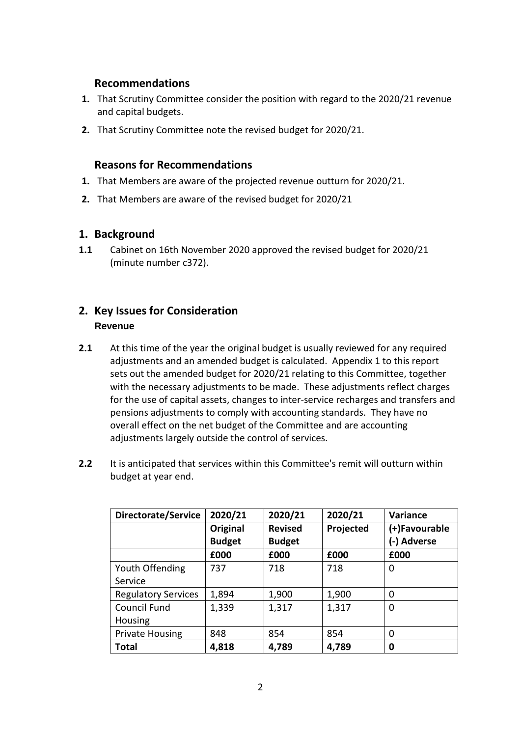### **Recommendations**

- **1.** That Scrutiny Committee consider the position with regard to the 2020/21 revenue and capital budgets.
- **2.** That Scrutiny Committee note the revised budget for 2020/21.

### **Reasons for Recommendations**

- **1.** That Members are aware of the projected revenue outturn for 2020/21.
- **2.** That Members are aware of the revised budget for 2020/21

### **1. Background**

**1.1** Cabinet on 16th November 2020 approved the revised budget for 2020/21 (minute number c372).

### **2. Key Issues for Consideration Revenue**

- **2.1** At this time of the year the original budget is usually reviewed for any required adjustments and an amended budget is calculated. Appendix 1 to this report sets out the amended budget for 2020/21 relating to this Committee, together with the necessary adjustments to be made. These adjustments reflect charges for the use of capital assets, changes to inter-service recharges and transfers and pensions adjustments to comply with accounting standards. They have no overall effect on the net budget of the Committee and are accounting adjustments largely outside the control of services.
- **2.2** It is anticipated that services within this Committee's remit will outturn within budget at year end.

| Directorate/Service        | 2020/21       | 2020/21        | 2020/21   | <b>Variance</b> |
|----------------------------|---------------|----------------|-----------|-----------------|
|                            | Original      | <b>Revised</b> | Projected | (+)Favourable   |
|                            | <b>Budget</b> | <b>Budget</b>  |           | (-) Adverse     |
|                            | £000          | £000           | £000      | £000            |
| Youth Offending            | 737           | 718            | 718       | 0               |
| Service                    |               |                |           |                 |
| <b>Regulatory Services</b> | 1,894         | 1,900          | 1,900     | 0               |
| Council Fund               | 1,339         | 1,317          | 1,317     | 0               |
| Housing                    |               |                |           |                 |
| <b>Private Housing</b>     | 848           | 854            | 854       | 0               |
| <b>Total</b>               | 4,818         | 4,789          | 4,789     | 0               |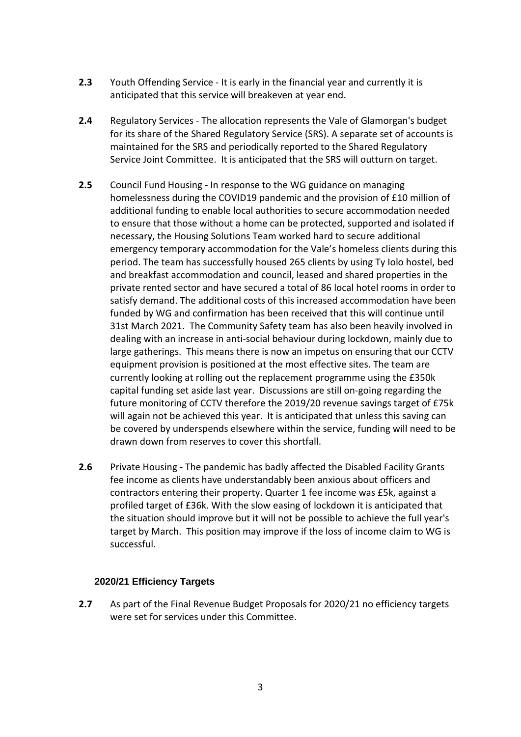- **2.3** Youth Offending Service It is early in the financial year and currently it is anticipated that this service will breakeven at year end.
- **2.4** Regulatory Services The allocation represents the Vale of Glamorgan's budget for its share of the Shared Regulatory Service (SRS). A separate set of accounts is maintained for the SRS and periodically reported to the Shared Regulatory Service Joint Committee. It is anticipated that the SRS will outturn on target.
- **2.5** Council Fund Housing In response to the WG guidance on managing homelessness during the COVID19 pandemic and the provision of £10 million of additional funding to enable local authorities to secure accommodation needed to ensure that those without a home can be protected, supported and isolated if necessary, the Housing Solutions Team worked hard to secure additional emergency temporary accommodation for the Vale's homeless clients during this period. The team has successfully housed 265 clients by using Ty Iolo hostel, bed and breakfast accommodation and council, leased and shared properties in the private rented sector and have secured a total of 86 local hotel rooms in order to satisfy demand. The additional costs of this increased accommodation have been funded by WG and confirmation has been received that this will continue until 31st March 2021. The Community Safety team has also been heavily involved in dealing with an increase in anti-social behaviour during lockdown, mainly due to large gatherings. This means there is now an impetus on ensuring that our CCTV equipment provision is positioned at the most effective sites. The team are currently looking at rolling out the replacement programme using the £350k capital funding set aside last year. Discussions are still on-going regarding the future monitoring of CCTV therefore the 2019/20 revenue savings target of £75k will again not be achieved this year. It is anticipated that unless this saving can be covered by underspends elsewhere within the service, funding will need to be drawn down from reserves to cover this shortfall.
- **2.6** Private Housing The pandemic has badly affected the Disabled Facility Grants fee income as clients have understandably been anxious about officers and contractors entering their property. Quarter 1 fee income was £5k, against a profiled target of £36k. With the slow easing of lockdown it is anticipated that the situation should improve but it will not be possible to achieve the full year's target by March. This position may improve if the loss of income claim to WG is successful.

#### **2020/21 Efficiency Targets**

**2.7** As part of the Final Revenue Budget Proposals for 2020/21 no efficiency targets were set for services under this Committee.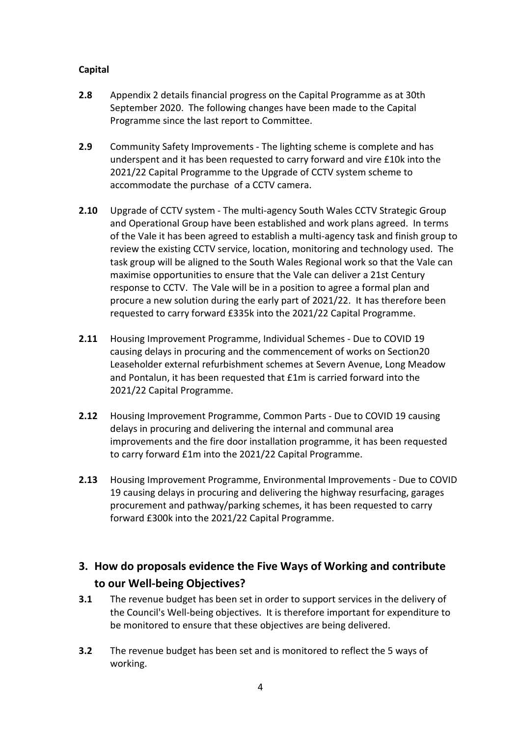### **Capital**

- **2.8** Appendix 2 details financial progress on the Capital Programme as at 30th September 2020. The following changes have been made to the Capital Programme since the last report to Committee.
- **2.9** Community Safety Improvements The lighting scheme is complete and has underspent and it has been requested to carry forward and vire £10k into the 2021/22 Capital Programme to the Upgrade of CCTV system scheme to accommodate the purchase of a CCTV camera.
- **2.10** Upgrade of CCTV system The multi-agency South Wales CCTV Strategic Group and Operational Group have been established and work plans agreed. In terms of the Vale it has been agreed to establish a multi-agency task and finish group to review the existing CCTV service, location, monitoring and technology used. The task group will be aligned to the South Wales Regional work so that the Vale can maximise opportunities to ensure that the Vale can deliver a 21st Century response to CCTV. The Vale will be in a position to agree a formal plan and procure a new solution during the early part of 2021/22. It has therefore been requested to carry forward £335k into the 2021/22 Capital Programme.
- **2.11** Housing Improvement Programme, Individual Schemes Due to COVID 19 causing delays in procuring and the commencement of works on Section20 Leaseholder external refurbishment schemes at Severn Avenue, Long Meadow and Pontalun, it has been requested that £1m is carried forward into the 2021/22 Capital Programme.
- **2.12** Housing Improvement Programme, Common Parts Due to COVID 19 causing delays in procuring and delivering the internal and communal area improvements and the fire door installation programme, it has been requested to carry forward £1m into the 2021/22 Capital Programme.
- **2.13** Housing Improvement Programme, Environmental Improvements Due to COVID 19 causing delays in procuring and delivering the highway resurfacing, garages procurement and pathway/parking schemes, it has been requested to carry forward £300k into the 2021/22 Capital Programme.

# **3. How do proposals evidence the Five Ways of Working and contribute to our Well-being Objectives?**

- **3.1** The revenue budget has been set in order to support services in the delivery of the Council's Well-being objectives. It is therefore important for expenditure to be monitored to ensure that these objectives are being delivered.
- **3.2** The revenue budget has been set and is monitored to reflect the 5 ways of working.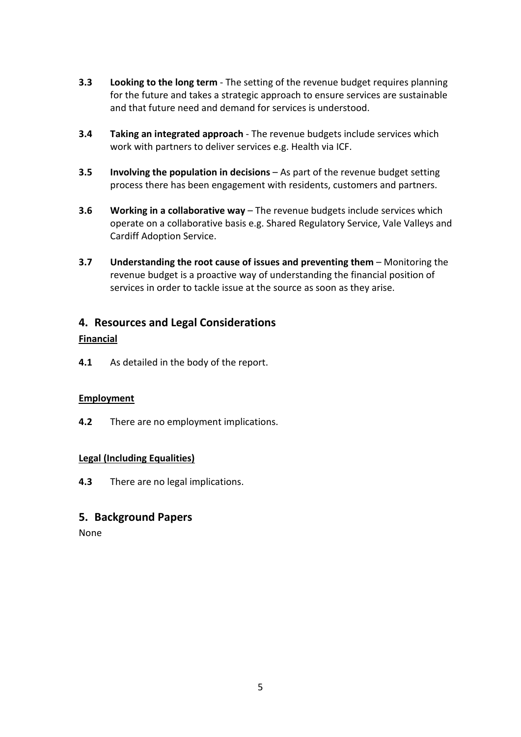- **3.3 Looking to the long term** The setting of the revenue budget requires planning for the future and takes a strategic approach to ensure services are sustainable and that future need and demand for services is understood.
- **3.4 Taking an integrated approach** The revenue budgets include services which work with partners to deliver services e.g. Health via ICF.
- **3.5 Involving the population in decisions** As part of the revenue budget setting process there has been engagement with residents, customers and partners.
- **3.6 Working in a collaborative way** The revenue budgets include services which operate on a collaborative basis e.g. Shared Regulatory Service, Vale Valleys and Cardiff Adoption Service.
- **3.7 Understanding the root cause of issues and preventing them** Monitoring the revenue budget is a proactive way of understanding the financial position of services in order to tackle issue at the source as soon as they arise.

## **4. Resources and Legal Considerations**

#### **Financial**

**4.1** As detailed in the body of the report.

#### **Employment**

**4.2** There are no employment implications.

### **Legal (Including Equalities)**

**4.3** There are no legal implications.

### **5. Background Papers**

None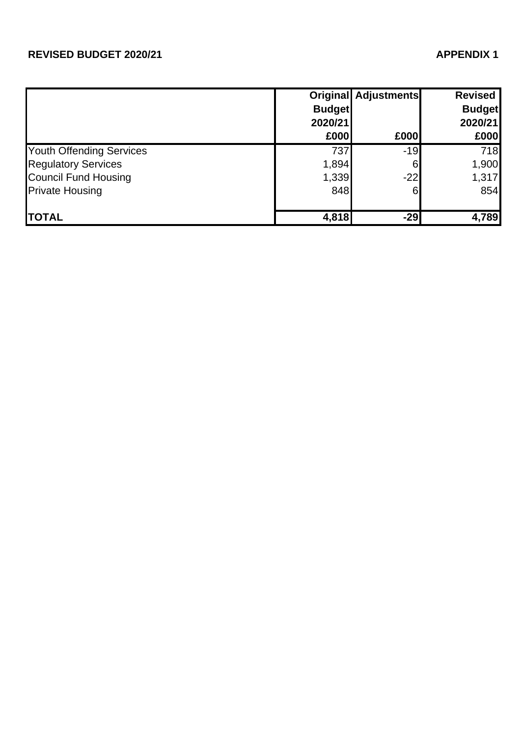# **REVISED BUDGET 2020/21 APPENDIX 1**

|                                 |               | <b>Original Adjustments</b> | <b>Revised</b> |
|---------------------------------|---------------|-----------------------------|----------------|
|                                 | <b>Budget</b> |                             | <b>Budget</b>  |
|                                 | 2020/21       |                             | 2020/21        |
|                                 | £000          | £000                        | £000           |
| <b>Youth Offending Services</b> | 737           | $-19$                       | 718            |
| <b>Regulatory Services</b>      | 1,894         | 6                           | 1,900          |
| <b>Council Fund Housing</b>     | 1,339         | $-22$                       | 1,317          |
| <b>Private Housing</b>          | 848           | 6                           | 854            |
| <b>TOTAL</b>                    | 4,818         | $-29$                       | 4,789          |